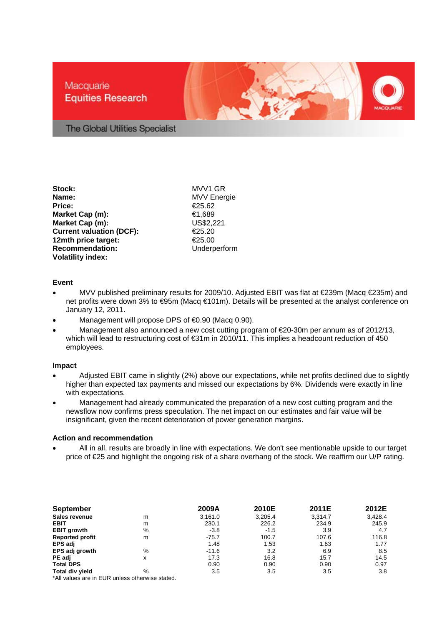## Macquarie **Equities Research**



The Global Utilities Specialist

**Stock:** MVV1 GR **Name:** MVV Energie **Price:** €25.62 **Market Cap (m):** €1,689 **Market Cap (m): Current valuation (DCF):** €25.20<br>12mth price target: €25.00 **12mth price target: Recommendation:** Underperform **Volatility index:** 

## **Event**

- MVV published preliminary results for 2009/10. Adjusted EBIT was flat at €239m (Macq €235m) and net profits were down 3% to €95m (Macq €101m). Details will be presented at the analyst conference on January 12, 2011.
- Management will propose DPS of €0.90 (Macq 0.90).
- Management also announced a new cost cutting program of €20-30m per annum as of 2012/13, which will lead to restructuring cost of €31m in 2010/11. This implies a headcount reduction of 450 employees.

## **Impact**

- Adjusted EBIT came in slightly (2%) above our expectations, while net profits declined due to slightly higher than expected tax payments and missed our expectations by 6%. Dividends were exactly in line with expectations.
- Management had already communicated the preparation of a new cost cutting program and the newsflow now confirms press speculation. The net impact on our estimates and fair value will be insignificant, given the recent deterioration of power generation margins.

## **Action and recommendation**

• All in all, results are broadly in line with expectations. We don't see mentionable upside to our target price of €25 and highlight the ongoing risk of a share overhang of the stock. We reaffirm our U/P rating.

| <b>September</b>       |               | 2009A   | 2010E   | 2011E   | 2012E   |
|------------------------|---------------|---------|---------|---------|---------|
| Sales revenue          | m             | 3,161.0 | 3,205.4 | 3.314.7 | 3,428.4 |
| <b>EBIT</b>            | m             | 230.1   | 226.2   | 234.9   | 245.9   |
| <b>EBIT growth</b>     | $\%$          | $-3.8$  | $-1.5$  | 3.9     | 4.7     |
| <b>Reported profit</b> | m             | $-75.7$ | 100.7   | 107.6   | 116.8   |
| EPS adj                |               | 1.48    | 1.53    | 1.63    | 1.77    |
| EPS adj growth         | %             | $-11.6$ | 3.2     | 6.9     | 8.5     |
| PE adj                 | x             | 17.3    | 16.8    | 15.7    | 14.5    |
| <b>Total DPS</b>       |               | 0.90    | 0.90    | 0.90    | 0.97    |
| Total div yield        | $\frac{0}{0}$ | 3.5     | 3.5     | 3.5     | 3.8     |

\*All values are in EUR unless otherwise stated.